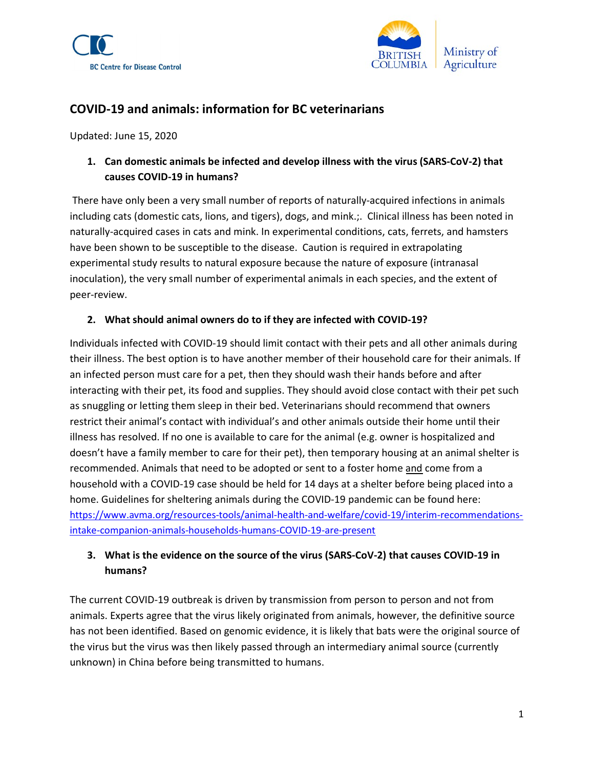



# COVID-19 and animals: information for BC veterinarians

Updated: June 15, 2020

1. Can domestic animals be infected and develop illness with the virus (SARS-CoV-2) that causes COVID-19 in humans?

 There have only been a very small number of reports of naturally-acquired infections in animals including cats (domestic cats, lions, and tigers), dogs, and mink.;. Clinical illness has been noted in naturally-acquired cases in cats and mink. In experimental conditions, cats, ferrets, and hamsters have been shown to be susceptible to the disease. Caution is required in extrapolating experimental study results to natural exposure because the nature of exposure (intranasal inoculation), the very small number of experimental animals in each species, and the extent of peer-review.

### 2. What should animal owners do to if they are infected with COVID-19?

Individuals infected with COVID-19 should limit contact with their pets and all other animals during their illness. The best option is to have another member of their household care for their animals. If an infected person must care for a pet, then they should wash their hands before and after interacting with their pet, its food and supplies. They should avoid close contact with their pet such as snuggling or letting them sleep in their bed. Veterinarians should recommend that owners restrict their animal's contact with individual's and other animals outside their home until their illness has resolved. If no one is available to care for the animal (e.g. owner is hospitalized and doesn't have a family member to care for their pet), then temporary housing at an animal shelter is recommended. Animals that need to be adopted or sent to a foster home and come from a household with a COVID-19 case should be held for 14 days at a shelter before being placed into a home. Guidelines for sheltering animals during the COVID-19 pandemic can be found here: https://www.avma.org/resources-tools/animal-health-and-welfare/covid-19/interim-recommendationsintake-companion-animals-households-humans-COVID-19-are-present

# 3. What is the evidence on the source of the virus (SARS-CoV-2) that causes COVID-19 in humans?

The current COVID-19 outbreak is driven by transmission from person to person and not from animals. Experts agree that the virus likely originated from animals, however, the definitive source has not been identified. Based on genomic evidence, it is likely that bats were the original source of the virus but the virus was then likely passed through an intermediary animal source (currently unknown) in China before being transmitted to humans.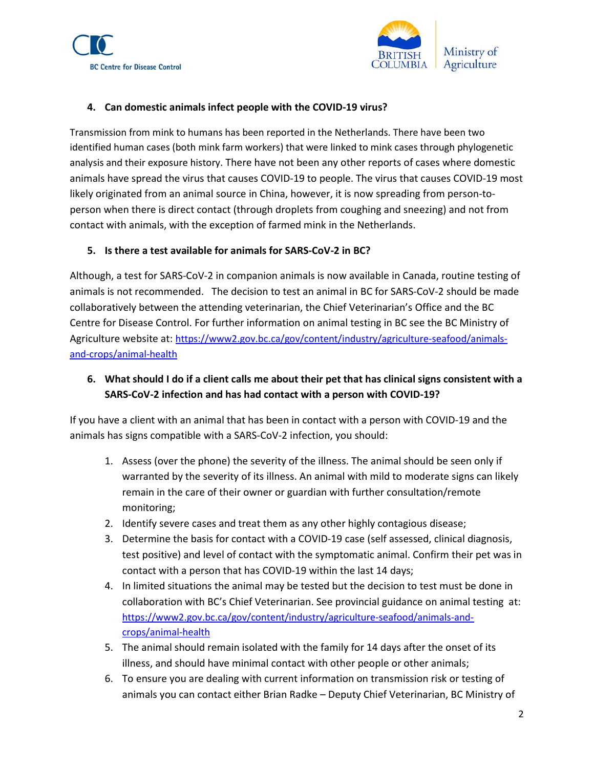



### 4. Can domestic animals infect people with the COVID-19 virus?

Transmission from mink to humans has been reported in the Netherlands. There have been two identified human cases (both mink farm workers) that were linked to mink cases through phylogenetic analysis and their exposure history. There have not been any other reports of cases where domestic animals have spread the virus that causes COVID-19 to people. The virus that causes COVID-19 most likely originated from an animal source in China, however, it is now spreading from person-toperson when there is direct contact (through droplets from coughing and sneezing) and not from contact with animals, with the exception of farmed mink in the Netherlands.

### 5. Is there a test available for animals for SARS-CoV-2 in BC?

Although, a test for SARS-CoV-2 in companion animals is now available in Canada, routine testing of animals is not recommended. The decision to test an animal in BC for SARS-CoV-2 should be made collaboratively between the attending veterinarian, the Chief Veterinarian's Office and the BC Centre for Disease Control. For further information on animal testing in BC see the BC Ministry of Agriculture website at: https://www2.gov.bc.ca/gov/content/industry/agriculture-seafood/animalsand-crops/animal-health

# 6. What should I do if a client calls me about their pet that has clinical signs consistent with a SARS-CoV-2 infection and has had contact with a person with COVID-19?

If you have a client with an animal that has been in contact with a person with COVID-19 and the animals has signs compatible with a SARS-CoV-2 infection, you should:

- 1. Assess (over the phone) the severity of the illness. The animal should be seen only if warranted by the severity of its illness. An animal with mild to moderate signs can likely remain in the care of their owner or guardian with further consultation/remote monitoring;
- 2. Identify severe cases and treat them as any other highly contagious disease;
- 3. Determine the basis for contact with a COVID-19 case (self assessed, clinical diagnosis, test positive) and level of contact with the symptomatic animal. Confirm their pet was in contact with a person that has COVID-19 within the last 14 days;
- 4. In limited situations the animal may be tested but the decision to test must be done in collaboration with BC's Chief Veterinarian. See provincial guidance on animal testing at: https://www2.gov.bc.ca/gov/content/industry/agriculture-seafood/animals-andcrops/animal-health
- 5. The animal should remain isolated with the family for 14 days after the onset of its illness, and should have minimal contact with other people or other animals;
- 6. To ensure you are dealing with current information on transmission risk or testing of animals you can contact either Brian Radke – Deputy Chief Veterinarian, BC Ministry of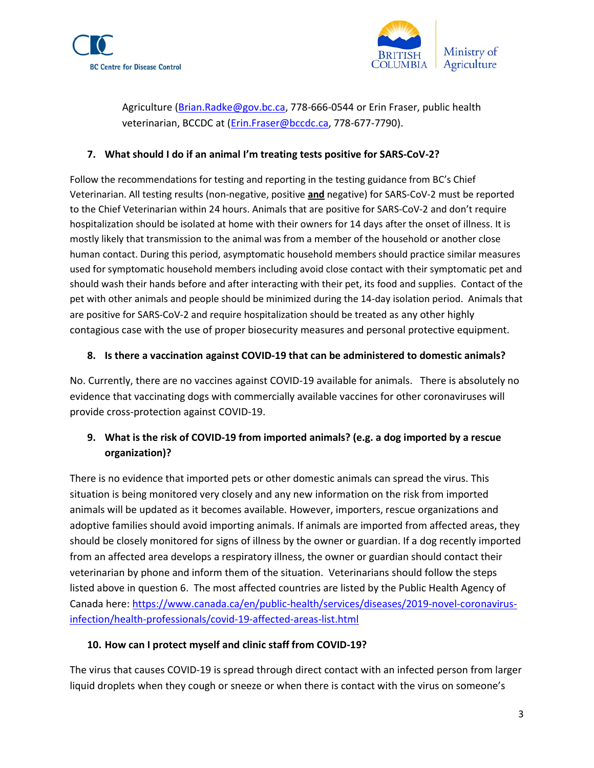



Agriculture (Brian.Radke@gov.bc.ca, 778-666-0544 or Erin Fraser, public health veterinarian, BCCDC at (Erin.Fraser@bccdc.ca, 778-677-7790).

#### 7. What should I do if an animal I'm treating tests positive for SARS-CoV-2?

Follow the recommendations for testing and reporting in the testing guidance from BC's Chief Veterinarian. All testing results (non-negative, positive and negative) for SARS-CoV-2 must be reported to the Chief Veterinarian within 24 hours. Animals that are positive for SARS-CoV-2 and don't require hospitalization should be isolated at home with their owners for 14 days after the onset of illness. It is mostly likely that transmission to the animal was from a member of the household or another close human contact. During this period, asymptomatic household members should practice similar measures used for symptomatic household members including avoid close contact with their symptomatic pet and should wash their hands before and after interacting with their pet, its food and supplies. Contact of the pet with other animals and people should be minimized during the 14-day isolation period. Animals that are positive for SARS-CoV-2 and require hospitalization should be treated as any other highly contagious case with the use of proper biosecurity measures and personal protective equipment.

#### 8. Is there a vaccination against COVID-19 that can be administered to domestic animals?

No. Currently, there are no vaccines against COVID-19 available for animals. There is absolutely no evidence that vaccinating dogs with commercially available vaccines for other coronaviruses will provide cross-protection against COVID-19.

# 9. What is the risk of COVID-19 from imported animals? (e.g. a dog imported by a rescue organization)?

There is no evidence that imported pets or other domestic animals can spread the virus. This situation is being monitored very closely and any new information on the risk from imported animals will be updated as it becomes available. However, importers, rescue organizations and adoptive families should avoid importing animals. If animals are imported from affected areas, they should be closely monitored for signs of illness by the owner or guardian. If a dog recently imported from an affected area develops a respiratory illness, the owner or guardian should contact their veterinarian by phone and inform them of the situation. Veterinarians should follow the steps listed above in question 6. The most affected countries are listed by the Public Health Agency of Canada here: https://www.canada.ca/en/public-health/services/diseases/2019-novel-coronavirusinfection/health-professionals/covid-19-affected-areas-list.html

#### 10. How can I protect myself and clinic staff from COVID-19?

The virus that causes COVID-19 is spread through direct contact with an infected person from larger liquid droplets when they cough or sneeze or when there is contact with the virus on someone's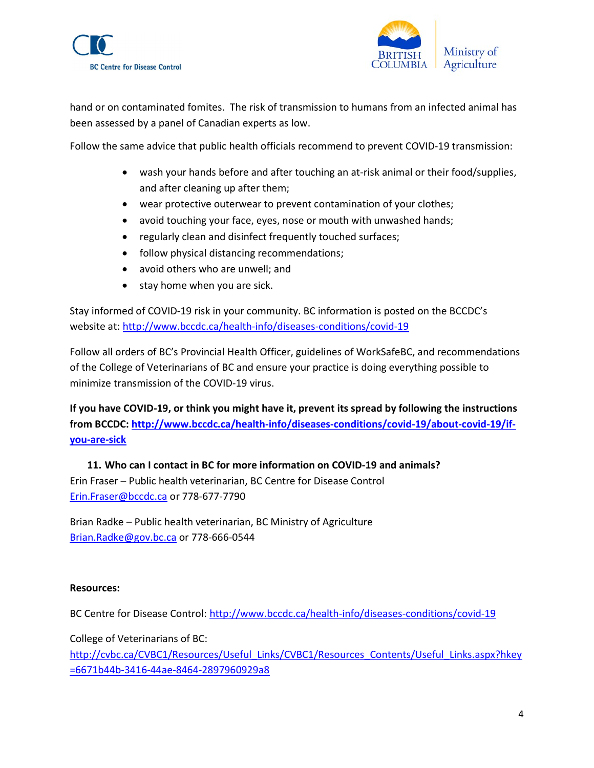



hand or on contaminated fomites. The risk of transmission to humans from an infected animal has been assessed by a panel of Canadian experts as low.

Follow the same advice that public health officials recommend to prevent COVID-19 transmission:

- wash your hands before and after touching an at-risk animal or their food/supplies, and after cleaning up after them;
- wear protective outerwear to prevent contamination of your clothes;
- avoid touching your face, eyes, nose or mouth with unwashed hands;
- regularly clean and disinfect frequently touched surfaces;
- follow physical distancing recommendations;
- avoid others who are unwell; and
- stay home when you are sick.

Stay informed of COVID-19 risk in your community. BC information is posted on the BCCDC's website at: http://www.bccdc.ca/health-info/diseases-conditions/covid-19

Follow all orders of BC's Provincial Health Officer, guidelines of WorkSafeBC, and recommendations of the College of Veterinarians of BC and ensure your practice is doing everything possible to minimize transmission of the COVID-19 virus.

If you have COVID-19, or think you might have it, prevent its spread by following the instructions from BCCDC: http://www.bccdc.ca/health-info/diseases-conditions/covid-19/about-covid-19/ifyou-are-sick

11. Who can I contact in BC for more information on COVID-19 and animals? Erin Fraser – Public health veterinarian, BC Centre for Disease Control Erin.Fraser@bccdc.ca or 778-677-7790

Brian Radke – Public health veterinarian, BC Ministry of Agriculture Brian.Radke@gov.bc.ca or 778-666-0544

#### Resources:

BC Centre for Disease Control: http://www.bccdc.ca/health-info/diseases-conditions/covid-19

College of Veterinarians of BC:

http://cvbc.ca/CVBC1/Resources/Useful\_Links/CVBC1/Resources\_Contents/Useful\_Links.aspx?hkey =6671b44b-3416-44ae-8464-2897960929a8